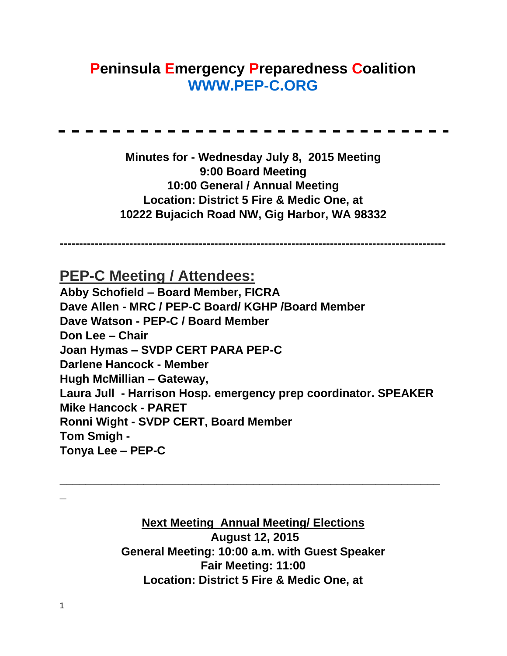# **Peninsula Emergency Preparedness Coalition [WWW.PEP-C.ORG](http://www.pep-c.org/)**

**Minutes for - Wednesday July 8, 2015 Meeting 9:00 Board Meeting 10:00 General / Annual Meeting Location: District 5 Fire & Medic One, at 10222 Bujacich Road NW, Gig Harbor, WA 98332** 

**----------------------------------------------------------------------------------------------------**

**PEP-C Meeting / Attendees:**

**Abby Schofield – Board Member, FICRA Dave Allen - MRC / PEP-C Board/ KGHP /Board Member Dave Watson - PEP-C / Board Member Don Lee – Chair Joan Hymas – SVDP CERT PARA PEP-C Darlene Hancock - Member Hugh McMillian – Gateway, Laura Jull - Harrison Hosp. emergency prep coordinator. SPEAKER Mike Hancock - PARET Ronni Wight - SVDP CERT, Board Member Tom Smigh - Tonya Lee – PEP-C** 

> **Next Meeting Annual Meeting/ Elections August 12, 2015 General Meeting: 10:00 a.m. with Guest Speaker Fair Meeting: 11:00 Location: District 5 Fire & Medic One, at**

**\_\_\_\_\_\_\_\_\_\_\_\_\_\_\_\_\_\_\_\_\_\_\_\_\_\_\_\_\_\_\_\_\_\_\_\_\_\_\_\_\_\_\_\_\_\_\_\_\_\_\_\_\_\_\_\_\_\_\_**

**\_**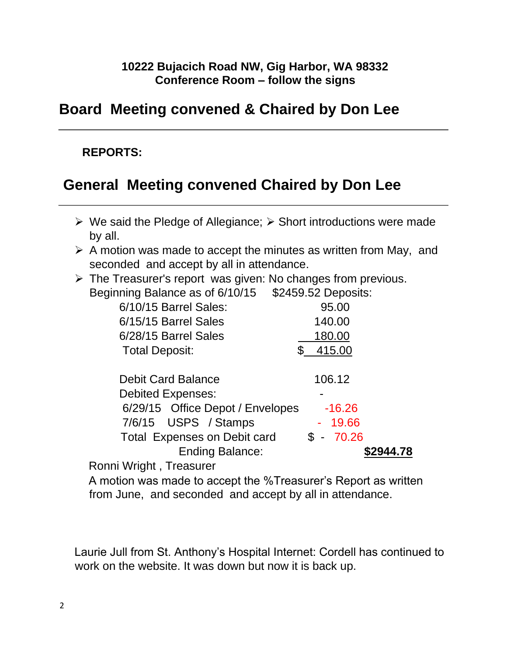#### **10222 Bujacich Road NW, Gig Harbor, WA 98332 Conference Room – follow the signs**

## **Board Meeting convened & Chaired by Don Lee**

#### **REPORTS:**

## **General Meeting convened Chaired by Don Lee**

- $\triangleright$  We said the Pledge of Allegiance;  $\triangleright$  Short introductions were made by all.
- $\triangleright$  A motion was made to accept the minutes as written from May, and seconded and accept by all in attendance.
- $\triangleright$  The Treasurer's report was given: No changes from previous. Beginning Balance as of 6/10/15 \$2459.52 Deposits:

|                                     | $V = 100.02$ $V = 0000$ |
|-------------------------------------|-------------------------|
| 6/10/15 Barrel Sales:               | 95.00                   |
| 6/15/15 Barrel Sales                | 140.00                  |
| 6/28/15 Barrel Sales                | 180.00                  |
| <b>Total Deposit:</b>               | 415.00                  |
| <b>Debit Card Balance</b>           |                         |
|                                     | 106.12                  |
| <b>Debited Expenses:</b>            |                         |
| 6/29/15 Office Depot / Envelopes    | $-16.26$                |
| 7/6/15 USPS / Stamps                | $-19.66$                |
| <b>Total Expenses on Debit card</b> | 70.26<br>$S -$          |
| <b>Ending Balance:</b>              |                         |
|                                     |                         |

Ronni Wright , Treasurer

A motion was made to accept the %Treasurer's Report as written from June, and seconded and accept by all in attendance.

Laurie Jull from St. Anthony's Hospital Internet: Cordell has continued to work on the website. It was down but now it is back up.